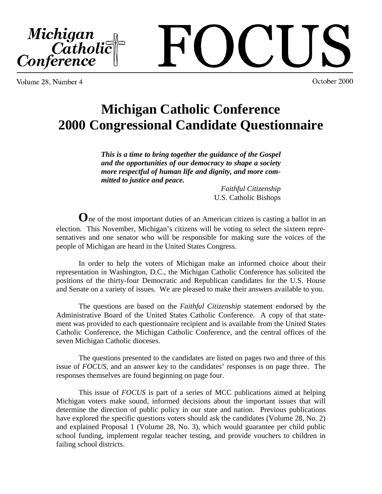Michigan<br>Catholic<br>Conference

October 2000

Volume 28, Number 4

# **Michigan Catholic Conference 2000 Congressional Candidate Questionnaire**

*This is a time to bring together the guidance of the Gospel and the opportunities of our democracy to shape a society more respectful of human life and dignity, and more committed to justice and peace.*

> *Faithful Citizenship* U.S. Catholic Bishops

**O**ne of the most important duties of an American citizen is casting a ballot in an election. This November, Michigan's citizens will be voting to select the sixteen representatives and one senator who will be responsible for making sure the voices of the people of Michigan are heard in the United States Congress.

In order to help the voters of Michigan make an informed choice about their representation in Washington, D.C., the Michigan Catholic Conference has solicited the positions of the thirty-four Democratic and Republican candidates for the U.S. House and Senate on a variety of issues. We are pleased to make their answers available to you.

The questions are based on the *Faithful Citizenship* statement endorsed by the Administrative Board of the United States Catholic Conference. A copy of that statement was provided to each questionnaire recipient and is available from the United States Catholic Conference, the Michigan Catholic Conference, and the central offices of the seven Michigan Catholic dioceses.

The questions presented to the candidates are listed on pages two and three of this issue of *FOCUS,* and an answer key to the candidates' responses is on page three. The responses themselves are found beginning on page four.

This issue of *FOCUS* is part of a series of MCC publications aimed at helping Michigan voters make sound, informed decisions about the important issues that will determine the direction of public policy in our state and nation. Previous publications have explored the specific questions voters should ask the candidates (Volume 28, No. 2) and explained Proposal 1 (Volume 28, No. 3), which would guarantee per child public school funding, implement regular teacher testing, and provide vouchers to children in failing school districts.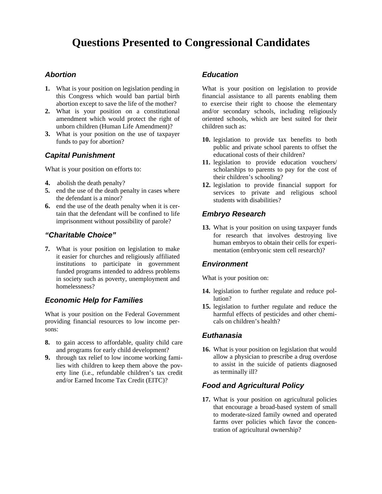## **Questions Presented to Congressional Candidates**

#### *Abortion*

- **1.** What is your position on legislation pending in this Congress which would ban partial birth abortion except to save the life of the mother?
- **2.** What is your position on a constitutional amendment which would protect the right of unborn children (Human Life Amendment)?
- **3.** What is your position on the use of taxpayer funds to pay for abortion?

#### *Capital Punishment*

What is your position on efforts to:

- **4.** abolish the death penalty?
- **5.** end the use of the death penalty in cases where the defendant is a minor?
- **6.** end the use of the death penalty when it is certain that the defendant will be confined to life imprisonment without possibility of parole?

#### *"Charitable Choice"*

**7.** What is your position on legislation to make it easier for churches and religiously affiliated institutions to participate in government funded programs intended to address problems in society such as poverty, unemployment and homelessness?

#### *Economic Help for Families*

What is your position on the Federal Government providing financial resources to low income persons:

- **8.** to gain access to affordable, quality child care and programs for early child development?
- **9.** through tax relief to low income working families with children to keep them above the poverty line (i.e., refundable children's tax credit and/or Earned Income Tax Credit (EITC)?

#### *Education*

What is your position on legislation to provide financial assistance to all parents enabling them to exercise their right to choose the elementary and/or secondary schools, including religiously oriented schools, which are best suited for their children such as:

- **10.** legislation to provide tax benefits to both public and private school parents to offset the educational costs of their children?
- **11.** legislation to provide education vouchers/ scholarships to parents to pay for the cost of their children's schooling?
- **12.** legislation to provide financial support for services to private and religious school students with disabilities?

#### *Embryo Research*

**13.** What is your position on using taxpayer funds for research that involves destroying live human embryos to obtain their cells for experimentation (embryonic stem cell research)?

#### *Environment*

What is your position on:

- **14.** legislation to further regulate and reduce pollution?
- **15.** legislation to further regulate and reduce the harmful effects of pesticides and other chemicals on children's health?

#### *Euthanasia*

**16.** What is your position on legislation that would allow a physician to prescribe a drug overdose to assist in the suicide of patients diagnosed as terminally ill?

#### *Food and Agricultural Policy*

**17.** What is your position on agricultural policies that encourage a broad-based system of small to moderate-sized family owned and operated farms over policies which favor the concentration of agricultural ownership?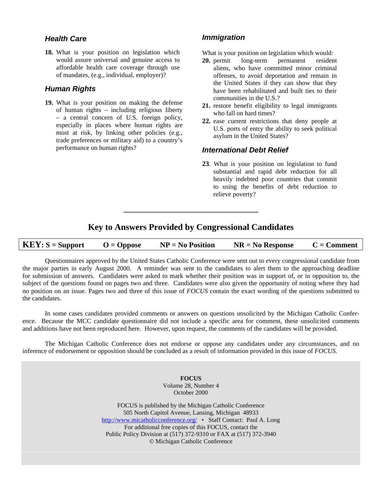#### *Health Care*

**18.** What is your position on legislation which would assure universal and genuine access to affordable health care coverage through use of mandates, (e.g., individual, employer)?

#### *Human Rights*

**19.** What is your position on making the defense of human rights – including religious liberty – a central concern of U.S. foreign policy, especially in places where human rights are most at risk, by linking other policies (e.g., trade preferences or military aid) to a country's performance on human rights?

#### *Immigration*

What is your position on legislation which would:

- **20.** permit long-term permanent resident aliens, who have committed minor criminal offenses, to avoid deportation and remain in the United States if they can show that they have been rehabilitated and built ties to their communities in the U.S.?
- **21.** restore benefit eligibility to legal immigrants who fall on hard times?
- **22.** ease current restrictions that deny people at U.S. ports of entry the ability to seek political asylum in the United States?

#### *International Debt Relief*

**23**. What is your position on legislation to fund substantial and rapid debt reduction for all heavily indebted poor countries that commit to using the benefits of debt reduction to relieve poverty?

### **Key to Answers Provided by Congressional Candidates**

**\_\_\_\_\_\_\_\_\_\_\_\_\_\_\_\_\_\_\_\_\_\_\_\_\_\_\_\_\_\_\_\_\_\_\_\_**

| $KEY: S = Support$<br>$O = \text{Oppose}$ | $NP = No Position$ | $NR = No$ Response | $C = Comment$ |
|-------------------------------------------|--------------------|--------------------|---------------|
|-------------------------------------------|--------------------|--------------------|---------------|

Questionnaires approved by the United States Catholic Conference were sent out to every congressional candidate from the major parties in early August 2000. A reminder was sent to the candidates to alert them to the approaching deadline for submission of answers. Candidates were asked to mark whether their position was in support of, or in opposition to, the subject of the questions found on pages two and three. Candidates were also given the opportunity of noting where they had no position on an issue. Pages two and three of this issue of *FOCUS* contain the exact wording of the questions submitted to the candidates.

In some cases candidates provided comments or answers on questions unsolicited by the Michigan Catholic Conference. Because the MCC candidate questionnaire did not include a specific area for comment, these unsolicited comments and additions have not been reproduced here. However, upon request, the comments of the candidates will be provided.

The Michigan Catholic Conference does not endorse or oppose any candidates under any circumstances, and no inference of endorsement or opposition should be concluded as a result of information provided in this issue of *FOCUS.*

> **FOCUS** Volume 28, Number 4 October 2000

FOCUS is published by the Michigan Catholic Conference 505 North Capitol Avenue, Lansing, Michigan 48933 http://www.micatholicconference.org/ • Staff Contact: Paul A. Long For additional free copies of this FOCUS, contact the Public Policy Division at (517) 372-9310 or FAX at (517) 372-3940 © Michigan Catholic Conference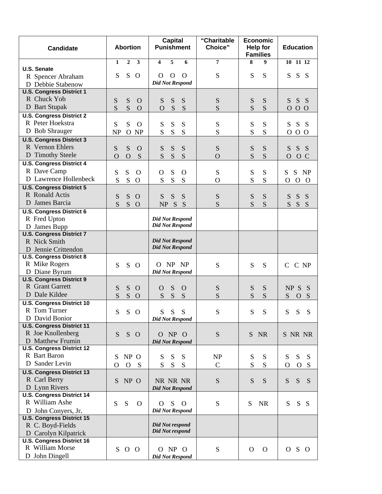| <b>Candidate</b>                                        | <b>Abortion</b>                                  | <b>Capital</b><br><b>Punishment</b> | "Charitable<br><b>Choice"</b> | <b>Economic</b><br><b>Help for</b><br><b>Families</b> | <b>Education</b>                           |
|---------------------------------------------------------|--------------------------------------------------|-------------------------------------|-------------------------------|-------------------------------------------------------|--------------------------------------------|
|                                                         | $\mathbf{3}$<br>$\mathbf{1}$<br>$\boldsymbol{2}$ | 5<br>6<br>4                         | 7                             | 8<br>9                                                | $10$ 11 12                                 |
| U.S. Senate                                             | S<br>S<br>$\Omega$                               | $\mathbf O$<br>$\Omega$<br>$\Omega$ | S                             | S<br>S                                                | S<br>S<br><sub>S</sub>                     |
| R Spencer Abraham                                       |                                                  | <b>Did Not Respond</b>              |                               |                                                       |                                            |
| D Debbie Stabenow                                       |                                                  |                                     |                               |                                                       |                                            |
| <b>U.S. Congress District 1</b><br>R Chuck Yob          |                                                  |                                     |                               |                                                       |                                            |
|                                                         | S<br>S<br>$\Omega$                               | S<br>S<br>S                         | S                             | S<br>S                                                | S S<br>$S_{\text{}}$                       |
| D Bart Stupak<br><b>U.S. Congress District 2</b>        | S<br>S<br>$\overline{O}$                         | ${\bf S}$<br>S<br>$\mathbf{O}$      | S                             | S<br>S                                                | $O$ O<br>$\overline{O}$                    |
| R Peter Hoekstra                                        |                                                  |                                     |                               |                                                       |                                            |
| D Bob Shrauger                                          | S<br>S<br>$\Omega$                               | S<br>S<br>S                         | S                             | S<br>S                                                | ${\bf S}$<br>S<br>- S                      |
| <b>U.S. Congress District 3</b>                         | O NP<br><b>NP</b>                                | S<br>S<br>S                         | S                             | S<br>S                                                | 0 <sub>0</sub><br>$\mathbf{O}$             |
| R Vernon Ehlers                                         |                                                  |                                     |                               |                                                       |                                            |
| D Timothy Steele                                        | S<br>S<br>$\mathbf O$                            | S<br>S<br>S                         | S                             | ${\bf S}$<br>S                                        | S<br>S<br><sub>S</sub>                     |
| <b>U.S. Congress District 4</b>                         | $\overline{O}$<br>S<br>$\Omega$                  | S<br>S<br>S                         | $\overline{O}$                | S<br>S                                                | $\overline{O}$<br>O C                      |
| R Dave Camp                                             |                                                  |                                     |                               |                                                       |                                            |
| D Lawrence Hollenbeck                                   | S<br>S<br>$\Omega$                               | S<br>$\mathbf O$<br>$\Omega$        | S                             | S<br>S                                                | S<br>S<br>NP                               |
| <b>U.S. Congress District 5</b>                         | S<br>S<br>$\mathbf{O}$                           | S<br>S<br>S                         | $\mathbf O$                   | S<br>S                                                | $\Omega$<br>$\mathbf{O}$<br>$\overline{O}$ |
| R Ronald Actis                                          |                                                  |                                     |                               |                                                       |                                            |
| D James Barcia                                          | S<br>S<br>$\Omega$                               | S<br>S<br>S                         | S                             | S<br>S                                                | S<br>S<br>S                                |
|                                                         | S<br>S<br>$\Omega$                               | NP S<br>S                           | S                             | S<br>S                                                | S<br>S<br>S                                |
| <b>U.S. Congress District 6</b><br>R Fred Upton         |                                                  | <b>Did Not Respond</b>              |                               |                                                       |                                            |
| D James Bupp                                            |                                                  | <b>Did Not Respond</b>              |                               |                                                       |                                            |
| <b>U.S. Congress District 7</b>                         |                                                  |                                     |                               |                                                       |                                            |
| R Nick Smith                                            |                                                  | <b>Did Not Respond</b>              |                               |                                                       |                                            |
| D Jennie Crittendon                                     |                                                  | <b>Did Not Respond</b>              |                               |                                                       |                                            |
| <b>U.S. Congress District 8</b>                         |                                                  |                                     |                               |                                                       |                                            |
| R Mike Rogers                                           | S<br>S<br>$\Omega$                               | O NP NP                             | ${\bf S}$                     | ${\bf S}$<br>S                                        | $\mathsf{C}$<br>C NP                       |
| D Diane Byrum                                           |                                                  | <b>Did Not Respond</b>              |                               |                                                       |                                            |
| <b>U.S. Congress District 9</b>                         |                                                  |                                     |                               |                                                       |                                            |
| R Grant Garrett                                         | S<br>S<br>$\Omega$                               | S<br>$\mathbf{O}$<br>$\Omega$       | S                             | S<br>S                                                | NP S<br>S                                  |
| D Dale Kildee                                           | S<br>S<br>$\Omega$                               | ${\bf S}$<br>S<br>S                 | S                             | S<br>S                                                | S<br>S<br>$\mathbf{O}$                     |
| <b>U.S. Congress District 10</b>                        |                                                  |                                     |                               |                                                       |                                            |
| R Tom Turner                                            | S<br>S<br>$\Omega$                               | ${\bf S}$<br>${\bf S}$<br>${\bf S}$ | S                             | S<br>S                                                | S<br>S<br>S                                |
| D David Bonior                                          |                                                  | <b>Did Not Respond</b>              |                               |                                                       |                                            |
| <b>U.S. Congress District 11</b>                        |                                                  |                                     |                               |                                                       |                                            |
| R Joe Knollenberg                                       | S<br>$S$ O                                       | O NP O                              | S                             | S NR                                                  | S NR NR                                    |
| D Matthew Frumin                                        |                                                  | <b>Did Not Respond</b>              |                               |                                                       |                                            |
| <b>U.S. Congress District 12</b>                        |                                                  |                                     |                               |                                                       |                                            |
| R Bart Baron                                            | NP O<br>S                                        | S<br>S<br>S                         | <b>NP</b>                     | ${\bf S}$<br>S                                        | S<br>S<br>S                                |
| D Sander Levin                                          | $\mathbf{O}$<br><sub>S</sub><br>O                | S<br>S<br>${\bf S}$                 | $\mathbf C$                   | S<br>S                                                | $\Omega$<br>$\mathbf{O}$<br>S              |
| <b>U.S. Congress District 13</b>                        |                                                  |                                     |                               |                                                       |                                            |
| R Carl Berry                                            | NP O<br>S.                                       | NR NR NR                            | S                             | S<br>S                                                | S<br>S<br>S                                |
| D Lynn Rivers<br><b>U.S. Congress District 14</b>       |                                                  | <b>Did Not Respond</b>              |                               |                                                       |                                            |
| R William Ashe                                          |                                                  |                                     |                               |                                                       |                                            |
|                                                         | S<br>S<br>$\Omega$                               | S<br>$\Omega$<br>$\Omega$           | S                             | S<br><b>NR</b>                                        | S<br>S S                                   |
| D John Conyers, Jr.<br><b>U.S. Congress District 15</b> |                                                  | <b>Did Not Respond</b>              |                               |                                                       |                                            |
| R C. Boyd-Fields                                        |                                                  | Did Not respond                     |                               |                                                       |                                            |
| D Carolyn Kilpatrick                                    |                                                  | Did Not respond                     |                               |                                                       |                                            |
| <b>U.S. Congress District 16</b>                        |                                                  |                                     |                               |                                                       |                                            |
| R William Morse                                         | S O O                                            | O NP O                              | ${\bf S}$                     | $\Omega$<br>$\Omega$                                  | O S O                                      |
| D John Dingell                                          |                                                  | <b>Did Not Respond</b>              |                               |                                                       |                                            |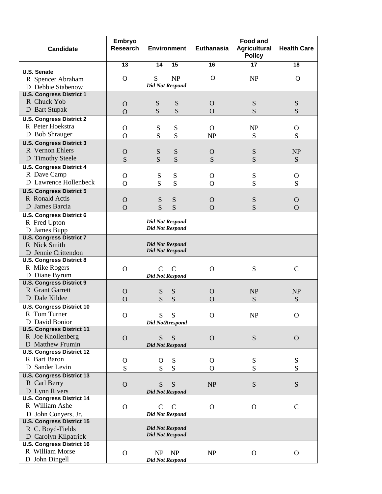| <b>Candidate</b>                                         | Embryo<br><b>Research</b> | <b>Environment</b>          |               |                |              | Euthanasia   | <b>Food and</b><br><b>Agricultural</b><br><b>Policy</b> | <b>Health Care</b> |
|----------------------------------------------------------|---------------------------|-----------------------------|---------------|----------------|--------------|--------------|---------------------------------------------------------|--------------------|
|                                                          | 13                        | 14                          | 15            | 16             | 17           | 18           |                                                         |                    |
| <b>U.S. Senate</b>                                       |                           |                             |               | $\circ$        |              |              |                                                         |                    |
| R Spencer Abraham                                        | $\Omega$                  | S<br><b>Did Not Respond</b> | NP            |                | NP           | $\Omega$     |                                                         |                    |
| D Debbie Stabenow                                        |                           |                             |               |                |              |              |                                                         |                    |
| <b>U.S. Congress District 1</b>                          |                           |                             |               |                |              |              |                                                         |                    |
| R Chuck Yob                                              | $\Omega$                  | S                           | S             | $\Omega$       | ${\bf S}$    | S            |                                                         |                    |
| D Bart Stupak                                            | $\overline{O}$            | S                           | S             | $\Omega$       | S            | S            |                                                         |                    |
| <b>U.S. Congress District 2</b>                          |                           |                             |               |                |              |              |                                                         |                    |
| R Peter Hoekstra                                         | $\mathbf{O}$              | ${\bf S}$                   | ${\bf S}$     | $\Omega$       | NP           | $\mathbf{O}$ |                                                         |                    |
| D Bob Shrauger                                           | $\overline{O}$            | S                           | S             | <b>NP</b>      | S            | S            |                                                         |                    |
| <b>U.S. Congress District 3</b>                          |                           |                             |               |                |              |              |                                                         |                    |
| R Vernon Ehlers                                          | $\Omega$                  | S                           | S             | $\Omega$       | ${\bf S}$    | <b>NP</b>    |                                                         |                    |
| D Timothy Steele                                         | S                         | S                           | S             | S              | S            | S            |                                                         |                    |
| <b>U.S. Congress District 4</b>                          |                           |                             |               |                |              |              |                                                         |                    |
| R Dave Camp                                              | $\mathbf{O}$              | S                           | S             | $\Omega$       | ${\bf S}$    | $\mathbf O$  |                                                         |                    |
| D Lawrence Hollenbeck                                    | $\overline{O}$            | S                           | S             | $\Omega$       | S            | S            |                                                         |                    |
| <b>U.S. Congress District 5</b>                          |                           |                             |               |                |              |              |                                                         |                    |
| R Ronald Actis                                           | $\Omega$                  | ${\bf S}$                   | ${\mathbf S}$ | $\Omega$       | ${\bf S}$    | $\mathbf{O}$ |                                                         |                    |
| D James Barcia                                           | $\overline{O}$            | S                           | S             | $\overline{O}$ | S            | $\mathbf{O}$ |                                                         |                    |
| <b>U.S. Congress District 6</b>                          |                           |                             |               |                |              |              |                                                         |                    |
| R Fred Upton                                             |                           | <b>Did Not Respond</b>      |               |                |              |              |                                                         |                    |
| D James Bupp                                             |                           | <b>Did Not Respond</b>      |               |                |              |              |                                                         |                    |
| <b>U.S. Congress District 7</b>                          |                           |                             |               |                |              |              |                                                         |                    |
| R Nick Smith                                             |                           | <b>Did Not Respond</b>      |               |                |              |              |                                                         |                    |
| D Jennie Crittendon                                      |                           | <b>Did Not Respond</b>      |               |                |              |              |                                                         |                    |
| <b>U.S. Congress District 8</b>                          |                           |                             |               |                |              |              |                                                         |                    |
| R Mike Rogers                                            | $\Omega$                  | $\mathcal{C}$               | $\mathcal{C}$ | $\Omega$       | ${\bf S}$    | $\mathsf{C}$ |                                                         |                    |
| D Diane Byrum                                            |                           | <b>Did Not Respond</b>      |               |                |              |              |                                                         |                    |
| <b>U.S. Congress District 9</b>                          |                           |                             |               |                |              |              |                                                         |                    |
| R Grant Garrett                                          | $\Omega$                  | S                           | S             | $\Omega$       | <b>NP</b>    | NP           |                                                         |                    |
| D Dale Kildee                                            | $\overline{O}$            | S                           | S             | $\Omega$       | S            | S            |                                                         |                    |
| <b>U.S. Congress District 10</b>                         |                           |                             |               |                |              |              |                                                         |                    |
| R Tom Turner                                             | $\mathbf{O}$              | S                           | S             | $\mathbf{O}$   | NP           | $\mathbf{O}$ |                                                         |                    |
| D David Bonior                                           |                           | <b>Did NotRrespond</b>      |               |                |              |              |                                                         |                    |
| <b>U.S. Congress District 11</b>                         |                           |                             |               |                |              |              |                                                         |                    |
| R Joe Knollenberg                                        | $\mathbf{O}$              | S                           | S             | $\mathbf O$    | ${\bf S}$    | $\Omega$     |                                                         |                    |
| D Matthew Frumin                                         |                           | <b>Did Not Respond</b>      |               |                |              |              |                                                         |                    |
| <b>U.S. Congress District 12</b>                         |                           |                             |               |                |              |              |                                                         |                    |
| R Bart Baron                                             | $\mathbf O$               | $\mathbf{O}$                | S             | $\mathbf{O}$   | ${\bf S}$    | ${\bf S}$    |                                                         |                    |
| D Sander Levin                                           | S                         | S                           | S             | $\mathbf{O}$   | S            | S            |                                                         |                    |
| <b>U.S. Congress District 13</b>                         |                           |                             |               |                |              |              |                                                         |                    |
| R Carl Berry                                             | $\mathbf{O}$              | S                           | S             | NP             | ${\bf S}$    | ${\bf S}$    |                                                         |                    |
| D Lynn Rivers                                            |                           | <b>Did Not Respond</b>      |               |                |              |              |                                                         |                    |
| <b>U.S. Congress District 14</b>                         |                           |                             |               |                |              |              |                                                         |                    |
| R William Ashe                                           | $\mathbf{O}$              | $\mathbf C$                 | $\mathbf C$   | $\Omega$       | $\mathbf{O}$ | $\mathbf C$  |                                                         |                    |
| D John Conyers, Jr.                                      |                           | <b>Did Not Respond</b>      |               |                |              |              |                                                         |                    |
| <b>U.S. Congress District 15</b>                         |                           | <b>Did Not Respond</b>      |               |                |              |              |                                                         |                    |
| R C. Boyd-Fields                                         |                           | <b>Did Not Respond</b>      |               |                |              |              |                                                         |                    |
| D Carolyn Kilpatrick<br><b>U.S. Congress District 16</b> |                           |                             |               |                |              |              |                                                         |                    |
| R William Morse                                          |                           |                             |               |                |              |              |                                                         |                    |
| D John Dingell                                           | $\Omega$                  | NP                          | <b>NP</b>     | NP             | $\mathbf{O}$ | $\Omega$     |                                                         |                    |
|                                                          |                           | <b>Did Not Respond</b>      |               |                |              |              |                                                         |                    |